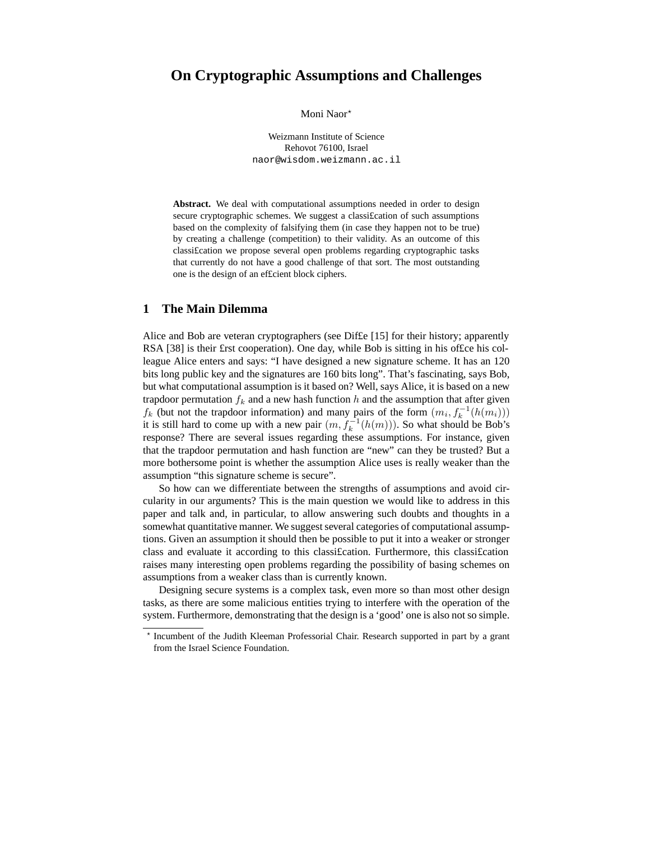# **On Cryptographic Assumptions and Challenges**

Moni Naor<sup>\*</sup>

Weizmann Institute of Science Rehovot 76100, Israel naor@wisdom.weizmann.ac.il

**Abstract.** We deal with computational assumptions needed in order to design secure cryptographic schemes. We suggest a classification of such assumptions based on the complexity of falsifying them (in case they happen not to be true) by creating a challenge (competition) to their validity. As an outcome of this classi£cation we propose several open problems regarding cryptographic tasks that currently do not have a good challenge of that sort. The most outstanding one is the design of an ef£cient block ciphers.

## **1 The Main Dilemma**

Alice and Bob are veteran cryptographers (see Dif£e [15] for their history; apparently RSA [38] is their £rst cooperation). One day, while Bob is sitting in his of£ce his colleague Alice enters and says: "I have designed a new signature scheme. It has an 120 bits long public key and the signatures are 160 bits long". That's fascinating, says Bob, but what computational assumption is it based on? Well, says Alice, it is based on a new trapdoor permutation  $f_k$  and a new hash function h and the assumption that after given  $f_k$  (but not the trapdoor information) and many pairs of the form  $(m_i, f_k^{-1}(h(m_i)))$ it is still hard to come up with a new pair  $(m, f_k^{-1}(h(m)))$ . So what should be Bob's response? There are several issues regarding these assumptions. For instance, given that the trapdoor permutation and hash function are "new" can they be trusted? But a more bothersome point is whether the assumption Alice uses is really weaker than the assumption "this signature scheme is secure".

So how can we differentiate between the strengths of assumptions and avoid circularity in our arguments? This is the main question we would like to address in this paper and talk and, in particular, to allow answering such doubts and thoughts in a somewhat quantitative manner. We suggest several categories of computational assumptions. Given an assumption it should then be possible to put it into a weaker or stronger class and evaluate it according to this classi£cation. Furthermore, this classi£cation raises many interesting open problems regarding the possibility of basing schemes on assumptions from a weaker class than is currently known.

Designing secure systems is a complex task, even more so than most other design tasks, as there are some malicious entities trying to interfere with the operation of the system. Furthermore, demonstrating that the design is a 'good' one is also not so simple.

<sup>?</sup> Incumbent of the Judith Kleeman Professorial Chair. Research supported in part by a grant from the Israel Science Foundation.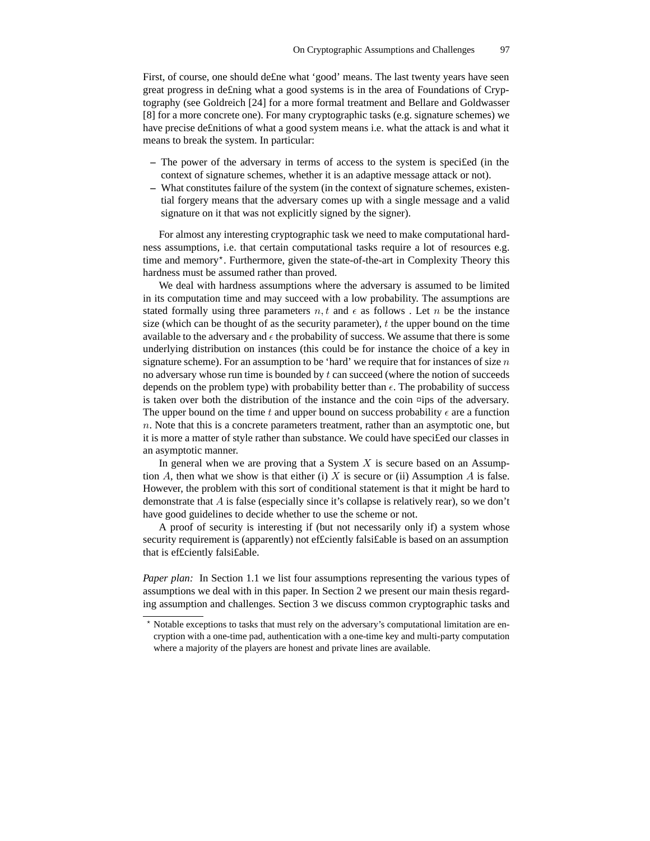First, of course, one should de£ne what 'good' means. The last twenty years have seen great progress in de£ning what a good systems is in the area of Foundations of Cryptography (see Goldreich [24] for a more formal treatment and Bellare and Goldwasser [8] for a more concrete one). For many cryptographic tasks (e.g. signature schemes) we have precise de£nitions of what a good system means i.e. what the attack is and what it means to break the system. In particular:

- **–** The power of the adversary in terms of access to the system is speci£ed (in the context of signature schemes, whether it is an adaptive message attack or not).
- **–** What constitutes failure of the system (in the context of signature schemes, existential forgery means that the adversary comes up with a single message and a valid signature on it that was not explicitly signed by the signer).

For almost any interesting cryptographic task we need to make computational hardness assumptions, i.e. that certain computational tasks require a lot of resources e.g. time and memory\*. Furthermore, given the state-of-the-art in Complexity Theory this hardness must be assumed rather than proved.

We deal with hardness assumptions where the adversary is assumed to be limited in its computation time and may succeed with a low probability. The assumptions are stated formally using three parameters  $n, t$  and  $\epsilon$  as follows. Let n be the instance size (which can be thought of as the security parameter),  $t$  the upper bound on the time available to the adversary and  $\epsilon$  the probability of success. We assume that there is some underlying distribution on instances (this could be for instance the choice of a key in signature scheme). For an assumption to be 'hard' we require that for instances of size  $n$ no adversary whose run time is bounded by  $t$  can succeed (where the notion of succeeds depends on the problem type) with probability better than  $\epsilon$ . The probability of success is taken over both the distribution of the instance and the coin  $\pi$ ips of the adversary. The upper bound on the time t and upper bound on success probability  $\epsilon$  are a function  $n.$  Note that this is a concrete parameters treatment, rather than an asymptotic one, but it is more a matter of style rather than substance. We could have speci£ed our classes in an asymptotic manner.

In general when we are proving that a System  $X$  is secure based on an Assumption A, then what we show is that either (i) X is secure or (ii) Assumption A is false. However, the problem with this sort of conditional statement is that it might be hard to demonstrate that A is false (especially since it's collapse is relatively rear), so we don't have good guidelines to decide whether to use the scheme or not.

A proof of security is interesting if (but not necessarily only if) a system whose security requirement is (apparently) not ef£ciently falsi£able is based on an assumption that is ef£ciently falsi£able.

*Paper plan:* In Section 1.1 we list four assumptions representing the various types of assumptions we deal with in this paper. In Section 2 we present our main thesis regarding assumption and challenges. Section 3 we discuss common cryptographic tasks and

<sup>?</sup> Notable exceptions to tasks that must rely on the adversary's computational limitation are encryption with a one-time pad, authentication with a one-time key and multi-party computation where a majority of the players are honest and private lines are available.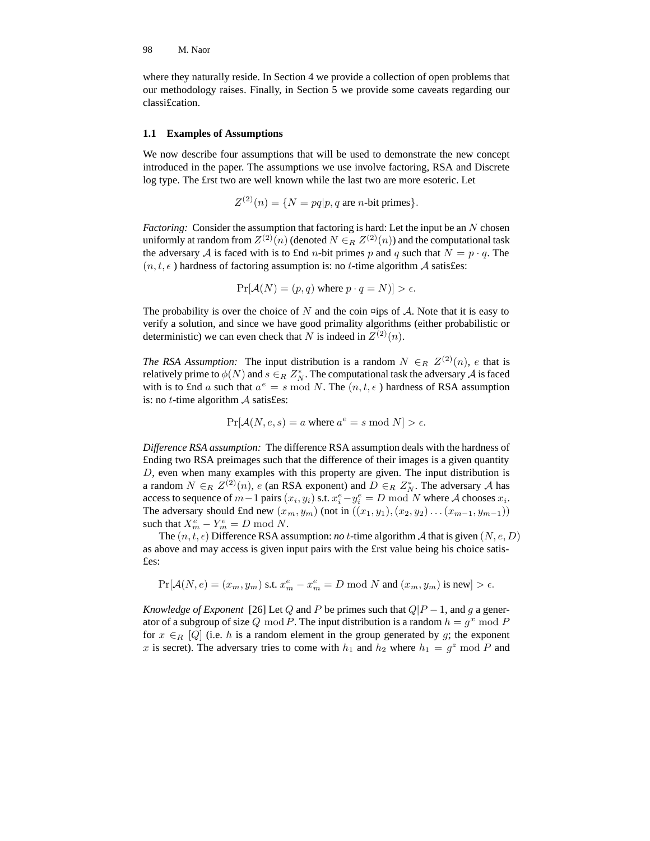where they naturally reside. In Section 4 we provide a collection of open problems that our methodology raises. Finally, in Section 5 we provide some caveats regarding our classi£cation.

### **1.1 Examples of Assumptions**

We now describe four assumptions that will be used to demonstrate the new concept introduced in the paper. The assumptions we use involve factoring, RSA and Discrete log type. The £rst two are well known while the last two are more esoteric. Let

$$
Z^{(2)}(n) = \{ N = pq | p, q \text{ are } n\text{-bit primes} \}.
$$

*Factoring:* Consider the assumption that factoring is hard: Let the input be an N chosen uniformly at random from  $Z^{(2)}(n)$  (denoted  $N \in_R Z^{(2)}(n)$ ) and the computational task the adversary A is faced with is to £nd *n*-bit primes p and q such that  $N = p \cdot q$ . The  $(n, t, \epsilon)$  hardness of factoring assumption is: no t-time algorithm A satisfies:

$$
Pr[\mathcal{A}(N) = (p, q) \text{ where } p \cdot q = N] > \epsilon.
$$

The probability is over the choice of N and the coin  $\Xi$ ips of A. Note that it is easy to verify a solution, and since we have good primality algorithms (either probabilistic or deterministic) we can even check that N is indeed in  $Z^{(2)}(n)$ .

*The* RSA *Assumption:* The input distribution is a random  $N \in_R Z^{(2)}(n)$ , e that is relatively prime to  $\phi(N)$  and  $s \in_R Z_N^*$ . The computational task the adversary  ${\mathcal A}$  is faced with is to £nd a such that  $a^e = s \mod N$ . The  $(n, t, \epsilon)$  hardness of RSA assumption is: no *t*-time algorithm  $\mathcal A$  satisfies:

$$
Pr[\mathcal{A}(N, e, s) = a \text{ where } a^e = s \text{ mod } N] > \epsilon.
$$

*Difference RSA assumption:* The difference RSA assumption deals with the hardness of £nding two RSA preimages such that the difference of their images is a given quantity D, even when many examples with this property are given. The input distribution is a random  $N \in_R Z^{(2)}(n)$ , e (an RSA exponent) and  $D \in_R Z_N^*$ . The adversary A has access to sequence of  $m-1$  pairs  $(x_i, y_i)$  s.t.  $x_i^e - y_i^e = D \mod N$  where A chooses  $x_i$ . The adversary should £nd new  $(x_m, y_m)$  (not in  $((x_1, y_1), (x_2, y_2) \dots (x_{m-1}, y_{m-1}))$ ) such that  $X_m^e - Y_m^e = D \bmod N$ .

The  $(n, t, \epsilon)$  Difference RSA assumption: *no* t-time algorithm A that is given  $(N, e, D)$ as above and may access is given input pairs with the £rst value being his choice satis- £es:

$$
\Pr[\mathcal{A}(N,e)=(x_m,y_m) \text{ s.t. } x_m^e-x_m^e=D \bmod N \text{ and } (x_m,y_m) \text{ is new}]>\epsilon.
$$

*Knowledge of Exponent* [26] Let Q and P be primes such that  $Q|P-1$ , and g a generator of a subgroup of size Q mod P. The input distribution is a random  $h = g^x \mod P$ for  $x \in_R [Q]$  (i.e. h is a random element in the group generated by g; the exponent x is secret). The adversary tries to come with  $h_1$  and  $h_2$  where  $h_1 = g^2 \mod P$  and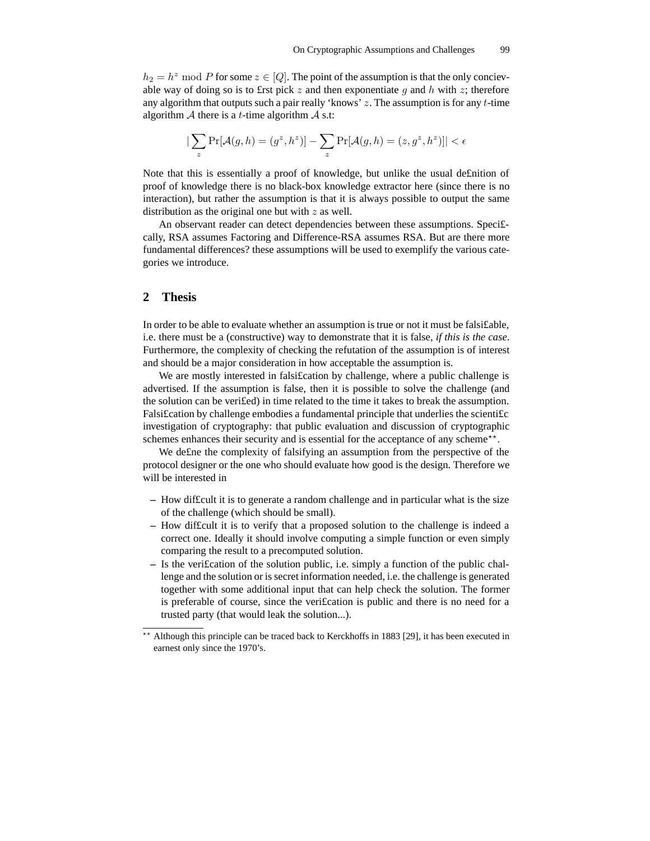$h_2 = h^2 \mod P$  for some  $z \in [Q]$ . The point of the assumption is that the only concievable way of doing so is to £rst pick z and then exponentiate q and h with z; therefore any algorithm that outputs such a pair really 'knows'  $z$ . The assumption is for any  $t$ -time algorithm  $A$  there is a *t*-time algorithm  $A$  s.t:

$$
|\sum_z \Pr[\mathcal{A}(g,h)=(g^z,h^z)]-\sum_z \Pr[\mathcal{A}(g,h)=(z,g^z,h^z)]|<\epsilon
$$

Note that this is essentially a proof of knowledge, but unlike the usual de£nition of proof of knowledge there is no black-box knowledge extractor here (since there is no interaction), but rather the assumption is that it is always possible to output the same distribution as the original one but with  $z$  as well.

An observant reader can detect dependencies between these assumptions. Speci£ cally, RSA assumes Factoring and Difference-RSA assumes RSA. But are there more fundamental differences? these assumptions will be used to exemplify the various categories we introduce.

### **2 Thesis**

In order to be able to evaluate whether an assumption is true or not it must be falsi£able, i.e. there must be a (constructive) way to demonstrate that it is false, *if this is the case*. Furthermore, the complexity of checking the refutation of the assumption is of interest and should be a major consideration in how acceptable the assumption is.

We are mostly interested in falsification by challenge, where a public challenge is advertised. If the assumption is false, then it is possible to solve the challenge (and the solution can be veri£ed) in time related to the time it takes to break the assumption. Falsi£cation by challenge embodies a fundamental principle that underlies the scienti£c investigation of cryptography: that public evaluation and discussion of cryptographic schemes enhances their security and is essential for the acceptance of any scheme\*\*.

We de£ne the complexity of falsifying an assumption from the perspective of the protocol designer or the one who should evaluate how good is the design. Therefore we will be interested in

- **–** How dif£cult it is to generate a random challenge and in particular what is the size of the challenge (which should be small).
- **–** How dif£cult it is to verify that a proposed solution to the challenge is indeed a correct one. Ideally it should involve computing a simple function or even simply comparing the result to a precomputed solution.
- **–** Is the veri£cation of the solution public, i.e. simply a function of the public challenge and the solution or is secret information needed, i.e. the challenge is generated together with some additional input that can help check the solution. The former is preferable of course, since the veri£cation is public and there is no need for a trusted party (that would leak the solution...).

<sup>\*\*</sup> Although this principle can be traced back to Kerckhoffs in 1883 [29], it has been executed in earnest only since the 1970's.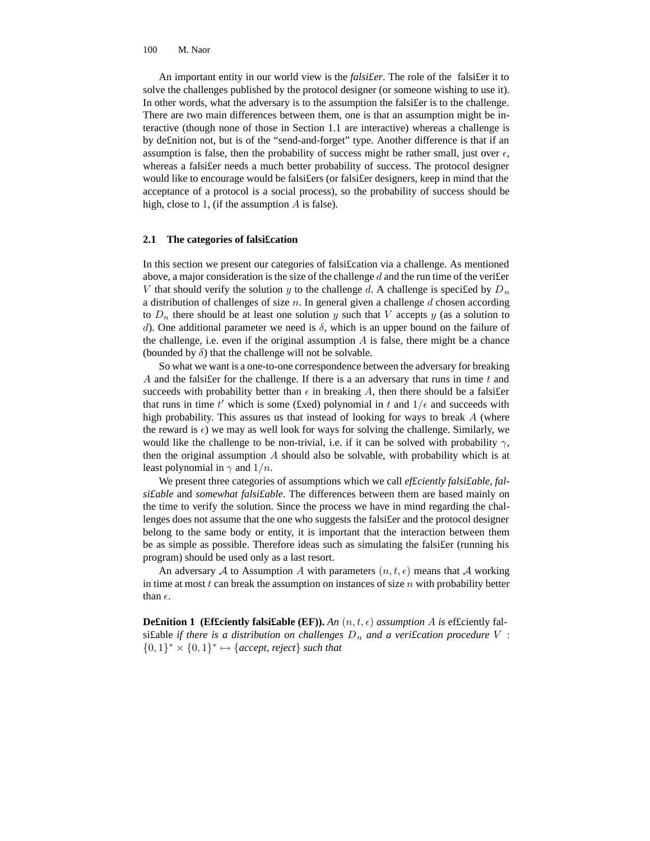An important entity in our world view is the *falsi£er*. The role of the falsi£er it to solve the challenges published by the protocol designer (or someone wishing to use it). In other words, what the adversary is to the assumption the falsi£er is to the challenge. There are two main differences between them, one is that an assumption might be interactive (though none of those in Section 1.1 are interactive) whereas a challenge is by de£nition not, but is of the "send-and-forget" type. Another difference is that if an assumption is false, then the probability of success might be rather small, just over  $\epsilon$ , whereas a falsi£er needs a much better probability of success. The protocol designer would like to encourage would be falsi£ers (or falsi£er designers, keep in mind that the acceptance of a protocol is a social process), so the probability of success should be high, close to 1, (if the assumption  $A$  is false).

### **2.1 The categories of falsi£cation**

In this section we present our categories of falsi£cation via a challenge. As mentioned above, a major consideration is the size of the challenge d and the run time of the verifer V that should verify the solution y to the challenge d. A challenge is specified by  $D_n$ a distribution of challenges of size  $n$ . In general given a challenge  $d$  chosen according to  $D_n$  there should be at least one solution y such that V accepts y (as a solution to d). One additional parameter we need is  $\delta$ , which is an upper bound on the failure of the challenge, i.e. even if the original assumption  $\tilde{A}$  is false, there might be a chance (bounded by  $\delta$ ) that the challenge will not be solvable.

So what we want is a one-to-one correspondence between the adversary for breaking A and the falsi for the challenge. If there is a an adversary that runs in time  $t$  and succeeds with probability better than  $\epsilon$  in breaking A, then there should be a falsifier that runs in time t' which is some (£xed) polynomial in t and  $1/\epsilon$  and succeeds with high probability. This assures us that instead of looking for ways to break A (where the reward is  $\epsilon$ ) we may as well look for ways for solving the challenge. Similarly, we would like the challenge to be non-trivial, i.e. if it can be solved with probability  $\gamma$ , then the original assumption  $A$  should also be solvable, with probability which is at least polynomial in  $\gamma$  and  $1/n$ .

We present three categories of assumptions which we call *ef£ciently falsi£able, falsi£able* and *somewhat falsi£able*. The differences between them are based mainly on the time to verify the solution. Since the process we have in mind regarding the challenges does not assume that the one who suggests the falsi£er and the protocol designer belong to the same body or entity, it is important that the interaction between them be as simple as possible. Therefore ideas such as simulating the falsi£er (running his program) should be used only as a last resort.

An adversary A to Assumption A with parameters  $(n, t, \epsilon)$  means that A working in time at most  $t$  can break the assumption on instances of size  $n$  with probability better than  $\epsilon$ .

**Definition 1** (Efficiently falsifable (EF)). An  $(n, t, \epsilon)$  assumption A is efficiently falsi£able *if* there is a distribution on challenges  $D_n$  and a veri£cation procedure V :  ${0, 1}^* \times {0, 1}^* \mapsto {accept, reject}$  *such that*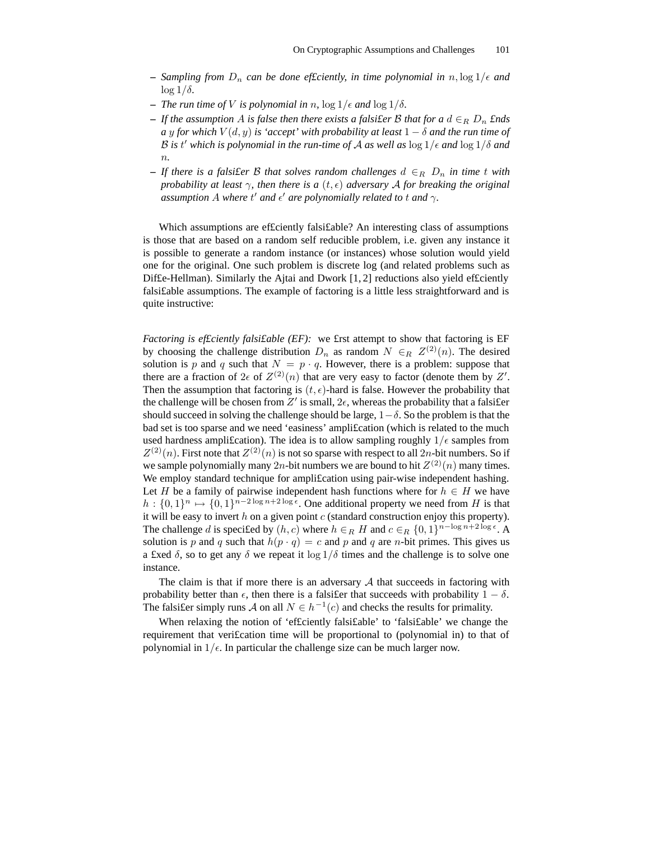- $-$  *Sampling from*  $D_n$  *can be done efficiently, in time polynomial in*  $n, \log 1/\epsilon$  *and*  $\log 1/\delta$ .
- **–** *The run time of V is polynomial in n*,  $\log 1/\epsilon$  *and*  $\log 1/\delta$ *.*
- $\overline{P}$   *If the assumption* A *is false then there exists a falsifier* B *that for*  $a \, d \in_R D_n$  *finds a* y for which  $V(d, y)$  is 'accept' with probability at least  $1 - \delta$  and the run time of B is t' which is polynomial in the run-time of A as well as  $\log 1/\epsilon$  and  $\log 1/\delta$  and n*.*
- **−** *If* there is a falsi£er B that solves random challenges  $d \∈ R D_n$  *in time* t with *probability at least*  $\gamma$ *, then there is a*  $(t, \epsilon)$  *adversary* A *for breaking the original*  $a$ *ssumption*  $A$  *where*  $t'$  *and*  $\epsilon'$  *are polynomially related to*  $t$  *and*  $\gamma$ *.*

Which assumptions are efficiently falsifable? An interesting class of assumptions is those that are based on a random self reducible problem, i.e. given any instance it is possible to generate a random instance (or instances) whose solution would yield one for the original. One such problem is discrete log (and related problems such as Dif£e-Hellman). Similarly the Ajtai and Dwork [1, 2] reductions also yield ef£ciently falsi£able assumptions. The example of factoring is a little less straightforward and is quite instructive:

*Factoring is ef£ciently falsi£able (EF):* we £rst attempt to show that factoring is EF by choosing the challenge distribution  $D_n$  as random  $N \in_R Z^{(2)}(n)$ . The desired solution is p and q such that  $N = p \cdot q$ . However, there is a problem: suppose that there are a fraction of  $2\epsilon$  of  $Z^{(2)}(n)$  that are very easy to factor (denote them by  $Z'$ . Then the assumption that factoring is  $(t, \epsilon)$ -hard is false. However the probability that the challenge will be chosen from  $Z'$  is small,  $2\epsilon$ , whereas the probability that a falsifier should succeed in solving the challenge should be large,  $1-\delta$ . So the problem is that the bad set is too sparse and we need 'easiness' ampli£cation (which is related to the much used hardness amplification). The idea is to allow sampling roughly  $1/\epsilon$  samples from  $Z^{(2)}(n)$ . First note that  $Z^{(2)}(n)$  is not so sparse with respect to all  $2n$ -bit numbers. So if we sample polynomially many  $2n$ -bit numbers we are bound to hit  $Z^{(2)}(n)$  many times. We employ standard technique for amplification using pair-wise independent hashing. Let H be a family of pairwise independent hash functions where for  $h \in H$  we have  $h: \{0,1\}^n \mapsto \{0,1\}^{n-2\log n+2\log \epsilon}$ . One additional property we need from H is that it will be easy to invert  $h$  on a given point  $c$  (standard construction enjoy this property). The challenge d is specified by  $(h, c)$  where  $h \in_R H$  and  $c \in_R \{0, 1\}^{n - \log n + 2\log \epsilon}$ . A solution is p and q such that  $h(p \cdot q) = c$  and p and q are n-bit primes. This gives us a £xed  $\delta$ , so to get any  $\delta$  we repeat it  $\log 1/\delta$  times and the challenge is to solve one instance.

The claim is that if more there is an adversary  $A$  that succeeds in factoring with probability better than  $\epsilon$ , then there is a falsi£er that succeeds with probability  $1 - \delta$ . The falsi£er simply runs A on all  $N \in h^{-1}(c)$  and checks the results for primality.

When relaxing the notion of 'efficiently falsifable' to 'falsifable' we change the requirement that veri£cation time will be proportional to (polynomial in) to that of polynomial in  $1/\epsilon$ . In particular the challenge size can be much larger now.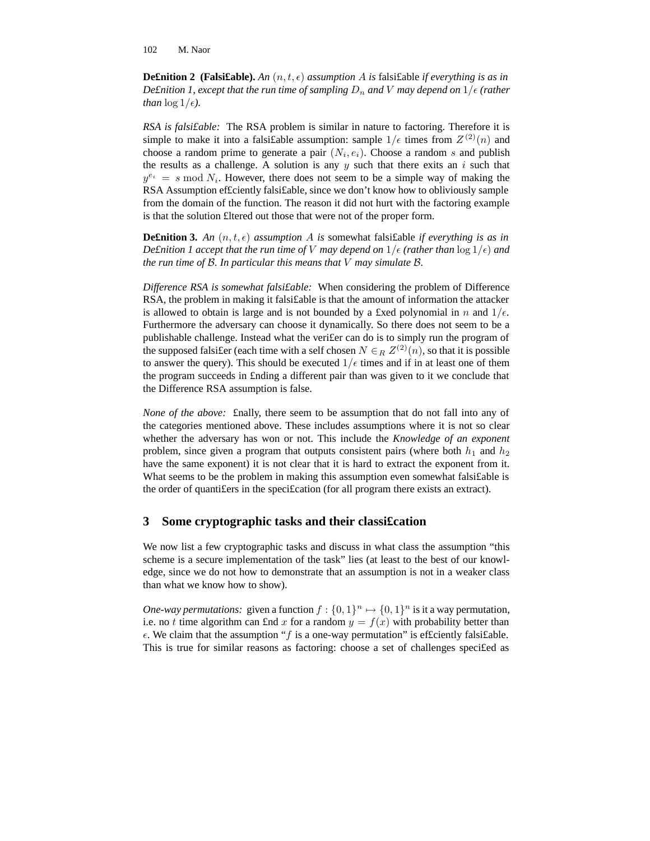**Definition 2** (Falsifable). An  $(n, t, \epsilon)$  assumption A is falsifable *if* everything is as in *Definition 1, except that the run time of sampling*  $D_n$  *and* V *may depend on*  $1/\epsilon$  (*rather than*  $\log 1/\epsilon$ *).* 

*RSA is falsi£able:* The RSA problem is similar in nature to factoring. Therefore it is simple to make it into a falsi£able assumption: sample  $1/\epsilon$  times from  $Z^{(2)}(n)$  and choose a random prime to generate a pair  $(N_i, e_i)$ . Choose a random s and publish the results as a challenge. A solution is any  $y$  such that there exits an  $i$  such that  $y^{e_i} = s \mod N_i$ . However, there does not seem to be a simple way of making the RSA Assumption efficiently falsifable, since we don't know how to obliviously sample from the domain of the function. The reason it did not hurt with the factoring example is that the solution £ltered out those that were not of the proper form.

**Definition 3.** An  $(n, t, \epsilon)$  assumption A is somewhat falsifable *if everything is as in Definition* 1 *accept that the run time of V may depend on*  $1/\epsilon$  *(rather than*  $\log 1/\epsilon$ ) *and the run time of* B*. In particular this means that* V *may simulate* B*.*

*Difference RSA is somewhat falsi£able:* When considering the problem of Difference RSA, the problem in making it falsi£able is that the amount of information the attacker is allowed to obtain is large and is not bounded by a fixed polynomial in n and  $1/\epsilon$ . Furthermore the adversary can choose it dynamically. So there does not seem to be a publishable challenge. Instead what the veri£er can do is to simply run the program of the supposed falsi£er (each time with a self chosen  $N \in_R Z^{(2)}(n)$ , so that it is possible to answer the query). This should be executed  $1/\epsilon$  times and if in at least one of them the program succeeds in £nding a different pair than was given to it we conclude that the Difference RSA assumption is false.

*None of the above:* £nally, there seem to be assumption that do not fall into any of the categories mentioned above. These includes assumptions where it is not so clear whether the adversary has won or not. This include the *Knowledge of an exponent* problem, since given a program that outputs consistent pairs (where both  $h_1$  and  $h_2$ have the same exponent) it is not clear that it is hard to extract the exponent from it. What seems to be the problem in making this assumption even somewhat falsifable is the order of quanti£ers in the speci£cation (for all program there exists an extract).

### **3 Some cryptographic tasks and their classi£cation**

We now list a few cryptographic tasks and discuss in what class the assumption "this scheme is a secure implementation of the task" lies (at least to the best of our knowledge, since we do not how to demonstrate that an assumption is not in a weaker class than what we know how to show).

*One-way permutations:* given a function  $f: \{0, 1\}^n \mapsto \{0, 1\}^n$  is it a way permutation, i.e. no t time algorithm can £nd x for a random  $y = f(x)$  with probability better than  $\epsilon$ . We claim that the assumption " $f$  is a one-way permutation" is efficiently falsifable. This is true for similar reasons as factoring: choose a set of challenges speci£ed as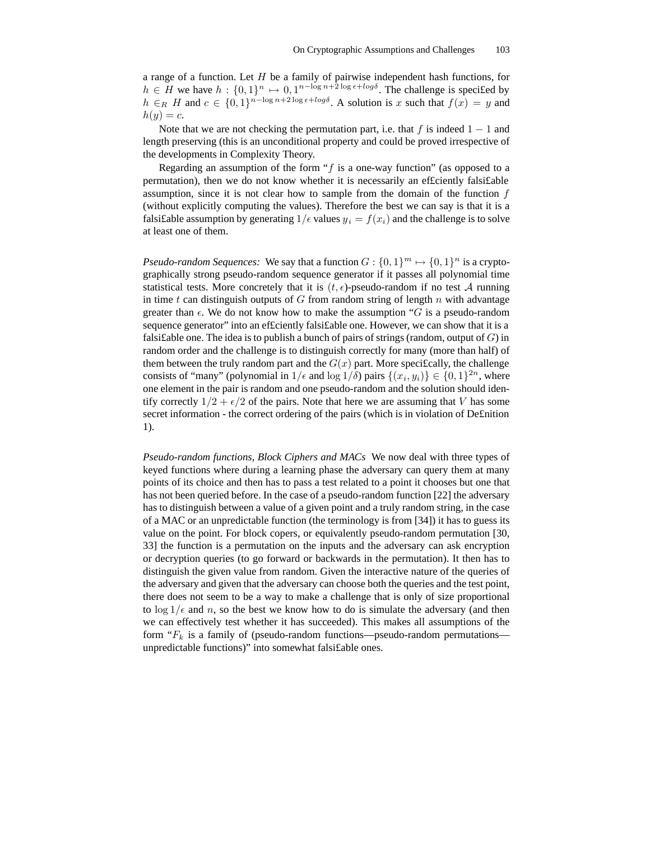a range of a function. Let  $H$  be a family of pairwise independent hash functions, for  $h \in H$  we have  $h: \{0,1\}^n \mapsto 0, 1^{n-\log n+2\log \epsilon + \log \delta}$ . The challenge is specified by  $h \in_R H$  and  $c \in \{0,1\}^{n-\log n+2\log \epsilon + \log \delta}$ . A solution is x such that  $f(x) = y$  and  $h(y) = c.$ 

Note that we are not checking the permutation part, i.e. that f is indeed  $1 - 1$  and length preserving (this is an unconditional property and could be proved irrespective of the developments in Complexity Theory.

Regarding an assumption of the form " $f$  is a one-way function" (as opposed to a permutation), then we do not know whether it is necessarily an ef£ciently falsi£able assumption, since it is not clear how to sample from the domain of the function  $f$ (without explicitly computing the values). Therefore the best we can say is that it is a falsi£able assumption by generating  $1/\epsilon$  values  $y_i = f(x_i)$  and the challenge is to solve at least one of them.

*Pseudo-random Sequences:* We say that a function  $G: \{0,1\}^m \mapsto \{0,1\}^n$  is a cryptographically strong pseudo-random sequence generator if it passes all polynomial time statistical tests. More concretely that it is  $(t, \epsilon)$ -pseudo-random if no test A running in time t can distinguish outputs of  $G$  from random string of length  $n$  with advantage greater than  $\epsilon$ . We do not know how to make the assumption "G is a pseudo-random sequence generator" into an ef£ciently falsi£able one. However, we can show that it is a falsi $\text{false}$  one. The idea is to publish a bunch of pairs of strings (random, output of G) in random order and the challenge is to distinguish correctly for many (more than half) of them between the truly random part and the  $G(x)$  part. More specifically, the challenge consists of "many" (polynomial in  $1/\epsilon$  and  $\log 1/\delta$ ) pairs  $\{(x_i, y_i)\}\in \{0, 1\}^{2n}$ , where one element in the pair is random and one pseudo-random and the solution should identify correctly  $1/2 + \epsilon/2$  of the pairs. Note that here we are assuming that V has some secret information - the correct ordering of the pairs (which is in violation of De£nition 1).

*Pseudo-random functions, Block Ciphers and MACs* We now deal with three types of keyed functions where during a learning phase the adversary can query them at many points of its choice and then has to pass a test related to a point it chooses but one that has not been queried before. In the case of a pseudo-random function [22] the adversary has to distinguish between a value of a given point and a truly random string, in the case of a MAC or an unpredictable function (the terminology is from [34]) it has to guess its value on the point. For block copers, or equivalently pseudo-random permutation [30, 33] the function is a permutation on the inputs and the adversary can ask encryption or decryption queries (to go forward or backwards in the permutation). It then has to distinguish the given value from random. Given the interactive nature of the queries of the adversary and given that the adversary can choose both the queries and the test point, there does not seem to be a way to make a challenge that is only of size proportional to  $\log 1/\epsilon$  and n, so the best we know how to do is simulate the adversary (and then we can effectively test whether it has succeeded). This makes all assumptions of the form " $F_k$  is a family of (pseudo-random functions—pseudo-random permutations unpredictable functions)" into somewhat falsi£able ones.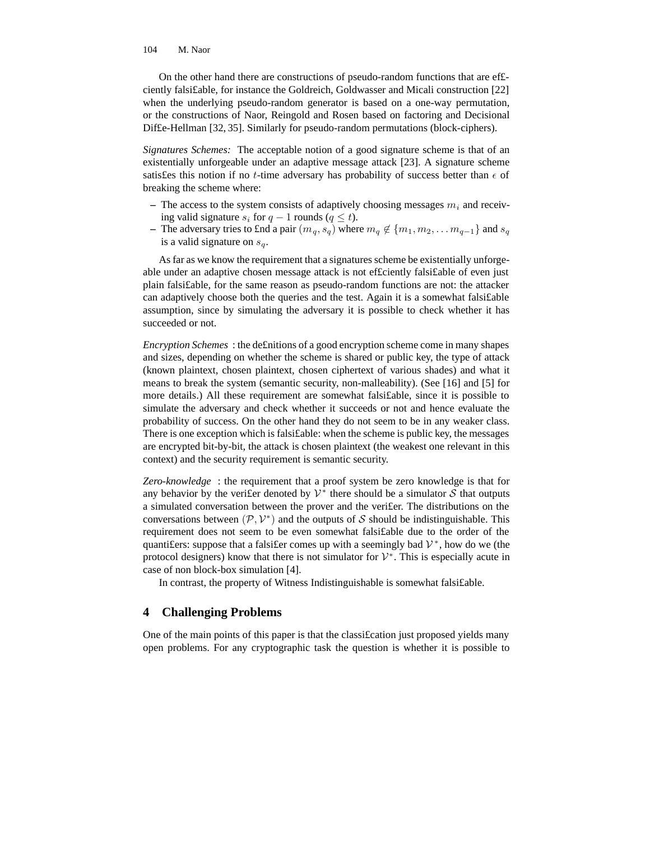On the other hand there are constructions of pseudo-random functions that are ef£ ciently falsi£able, for instance the Goldreich, Goldwasser and Micali construction [22] when the underlying pseudo-random generator is based on a one-way permutation, or the constructions of Naor, Reingold and Rosen based on factoring and Decisional Dif£e-Hellman [32, 35]. Similarly for pseudo-random permutations (block-ciphers).

*Signatures Schemes:* The acceptable notion of a good signature scheme is that of an existentially unforgeable under an adaptive message attack [23]. A signature scheme satisfes this notion if no *t*-time adversary has probability of success better than  $\epsilon$  of breaking the scheme where:

- $-$  The access to the system consists of adaptively choosing messages  $m_i$  and receiving valid signature  $s_i$  for  $q - 1$  rounds ( $q \le t$ ).
- **–** The adversary tries to £nd a pair  $(m_q, s_q)$  where  $m_q \notin \{m_1, m_2, \ldots m_{q-1}\}\$  and  $s_q$ is a valid signature on  $s_q$ .

As far as we know the requirement that a signatures scheme be existentially unforgeable under an adaptive chosen message attack is not ef£ciently falsi£able of even just plain falsi£able, for the same reason as pseudo-random functions are not: the attacker can adaptively choose both the queries and the test. Again it is a somewhat falsi£able assumption, since by simulating the adversary it is possible to check whether it has succeeded or not.

*Encryption Schemes* : the de£nitions of a good encryption scheme come in many shapes and sizes, depending on whether the scheme is shared or public key, the type of attack (known plaintext, chosen plaintext, chosen ciphertext of various shades) and what it means to break the system (semantic security, non-malleability). (See [16] and [5] for more details.) All these requirement are somewhat falsi£able, since it is possible to simulate the adversary and check whether it succeeds or not and hence evaluate the probability of success. On the other hand they do not seem to be in any weaker class. There is one exception which is falsi£able: when the scheme is public key, the messages are encrypted bit-by-bit, the attack is chosen plaintext (the weakest one relevant in this context) and the security requirement is semantic security.

*Zero-knowledge* : the requirement that a proof system be zero knowledge is that for any behavior by the veri£er denoted by  $V^*$  there should be a simulator  $S$  that outputs a simulated conversation between the prover and the veri£er. The distributions on the conversations between  $(\mathcal{P}, \mathcal{V}^*)$  and the outputs of S should be indistinguishable. This requirement does not seem to be even somewhat falsi£able due to the order of the quanti£ers: suppose that a falsi£er comes up with a seemingly bad  $V^*$ , how do we (the protocol designers) know that there is not simulator for  $\mathcal{V}^*$ . This is especially acute in case of non block-box simulation [4].

In contrast, the property of Witness Indistinguishable is somewhat falsi£able.

### **4 Challenging Problems**

One of the main points of this paper is that the classi£cation just proposed yields many open problems. For any cryptographic task the question is whether it is possible to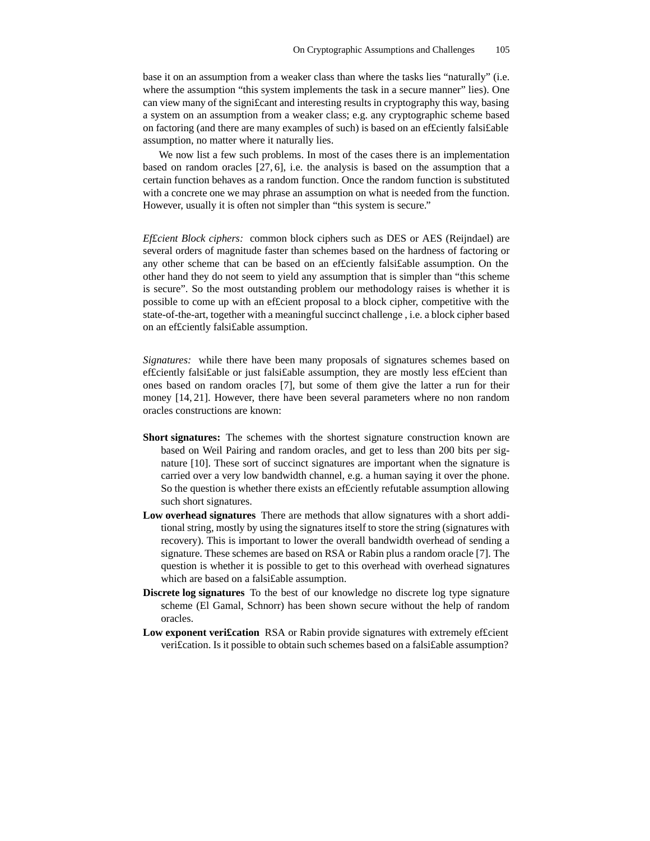base it on an assumption from a weaker class than where the tasks lies "naturally" (i.e. where the assumption "this system implements the task in a secure manner" lies). One can view many of the signi£cant and interesting results in cryptography this way, basing a system on an assumption from a weaker class; e.g. any cryptographic scheme based on factoring (and there are many examples of such) is based on an ef£ciently falsi£able assumption, no matter where it naturally lies.

We now list a few such problems. In most of the cases there is an implementation based on random oracles [27, 6], i.e. the analysis is based on the assumption that a certain function behaves as a random function. Once the random function is substituted with a concrete one we may phrase an assumption on what is needed from the function. However, usually it is often not simpler than "this system is secure."

*Ef£cient Block ciphers:* common block ciphers such as DES or AES (Reijndael) are several orders of magnitude faster than schemes based on the hardness of factoring or any other scheme that can be based on an ef£ciently falsi£able assumption. On the other hand they do not seem to yield any assumption that is simpler than "this scheme is secure". So the most outstanding problem our methodology raises is whether it is possible to come up with an ef£cient proposal to a block cipher, competitive with the state-of-the-art, together with a meaningful succinct challenge , i.e. a block cipher based on an ef£ciently falsi£able assumption.

*Signatures:* while there have been many proposals of signatures schemes based on ef£ciently falsi£able or just falsi£able assumption, they are mostly less ef£cient than ones based on random oracles [7], but some of them give the latter a run for their money [14, 21]. However, there have been several parameters where no non random oracles constructions are known:

- **Short signatures:** The schemes with the shortest signature construction known are based on Weil Pairing and random oracles, and get to less than 200 bits per signature [10]. These sort of succinct signatures are important when the signature is carried over a very low bandwidth channel, e.g. a human saying it over the phone. So the question is whether there exists an ef£ciently refutable assumption allowing such short signatures.
- **Low overhead signatures** There are methods that allow signatures with a short additional string, mostly by using the signatures itself to store the string (signatures with recovery). This is important to lower the overall bandwidth overhead of sending a signature. These schemes are based on RSA or Rabin plus a random oracle [7]. The question is whether it is possible to get to this overhead with overhead signatures which are based on a falsi£able assumption.
- **Discrete log signatures** To the best of our knowledge no discrete log type signature scheme (El Gamal, Schnorr) has been shown secure without the help of random oracles.
- **Low exponent veri£cation** RSA or Rabin provide signatures with extremely ef£cient veri£cation. Is it possible to obtain such schemes based on a falsi£able assumption?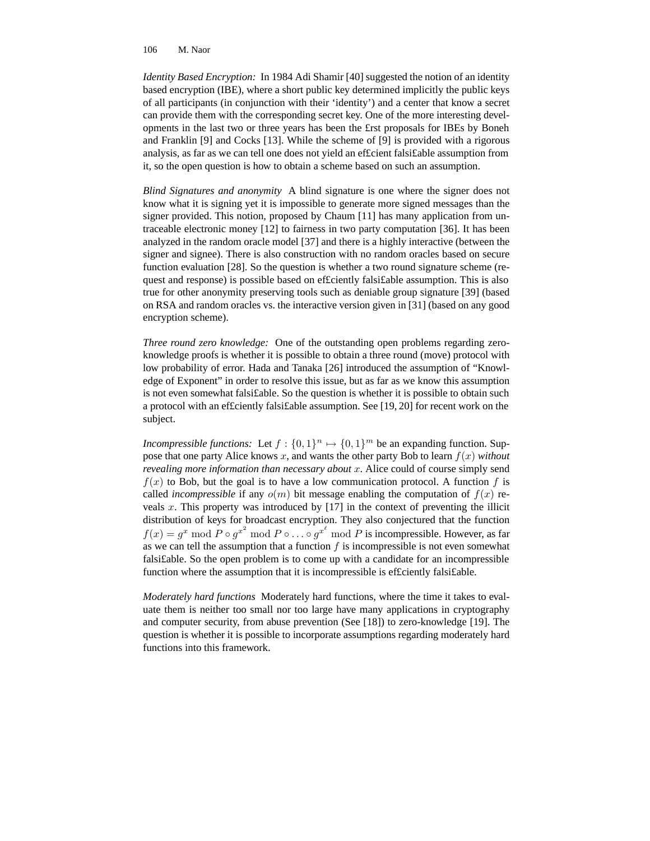*Identity Based Encryption:* In 1984 Adi Shamir [40] suggested the notion of an identity based encryption (IBE), where a short public key determined implicitly the public keys of all participants (in conjunction with their 'identity') and a center that know a secret can provide them with the corresponding secret key. One of the more interesting developments in the last two or three years has been the £rst proposals for IBEs by Boneh and Franklin [9] and Cocks [13]. While the scheme of [9] is provided with a rigorous analysis, as far as we can tell one does not yield an ef£cient falsi£able assumption from it, so the open question is how to obtain a scheme based on such an assumption.

*Blind Signatures and anonymity* A blind signature is one where the signer does not know what it is signing yet it is impossible to generate more signed messages than the signer provided. This notion, proposed by Chaum [11] has many application from untraceable electronic money [12] to fairness in two party computation [36]. It has been analyzed in the random oracle model [37] and there is a highly interactive (between the signer and signee). There is also construction with no random oracles based on secure function evaluation [28]. So the question is whether a two round signature scheme (request and response) is possible based on ef£ciently falsi£able assumption. This is also true for other anonymity preserving tools such as deniable group signature [39] (based on RSA and random oracles vs. the interactive version given in [31] (based on any good encryption scheme).

*Three round zero knowledge:* One of the outstanding open problems regarding zeroknowledge proofs is whether it is possible to obtain a three round (move) protocol with low probability of error. Hada and Tanaka [26] introduced the assumption of "Knowledge of Exponent" in order to resolve this issue, but as far as we know this assumption is not even somewhat falsi£able. So the question is whether it is possible to obtain such a protocol with an ef£ciently falsi£able assumption. See [19, 20] for recent work on the subject.

*Incompressible functions:* Let  $f: \{0, 1\}^n \mapsto \{0, 1\}^m$  be an expanding function. Suppose that one party Alice knows x, and wants the other party Bob to learn  $f(x)$  *without revealing more information than necessary about* x. Alice could of course simply send  $f(x)$  to Bob, but the goal is to have a low communication protocol. A function f is called *incompressible* if any  $o(m)$  bit message enabling the computation of  $f(x)$  reveals  $x$ . This property was introduced by  $[17]$  in the context of preventing the illicit distribution of keys for broadcast encryption. They also conjectured that the function  $f(x) = g^x \bmod P \circ g^{x^2} \bmod P \circ \dots \circ g^{x^{\ell}} \bmod P$  is incompressible. However, as far as we can tell the assumption that a function  $f$  is incompressible is not even somewhat falsi£able. So the open problem is to come up with a candidate for an incompressible function where the assumption that it is incompressible is efficiently falsifable.

*Moderately hard functions* Moderately hard functions, where the time it takes to evaluate them is neither too small nor too large have many applications in cryptography and computer security, from abuse prevention (See [18]) to zero-knowledge [19]. The question is whether it is possible to incorporate assumptions regarding moderately hard functions into this framework.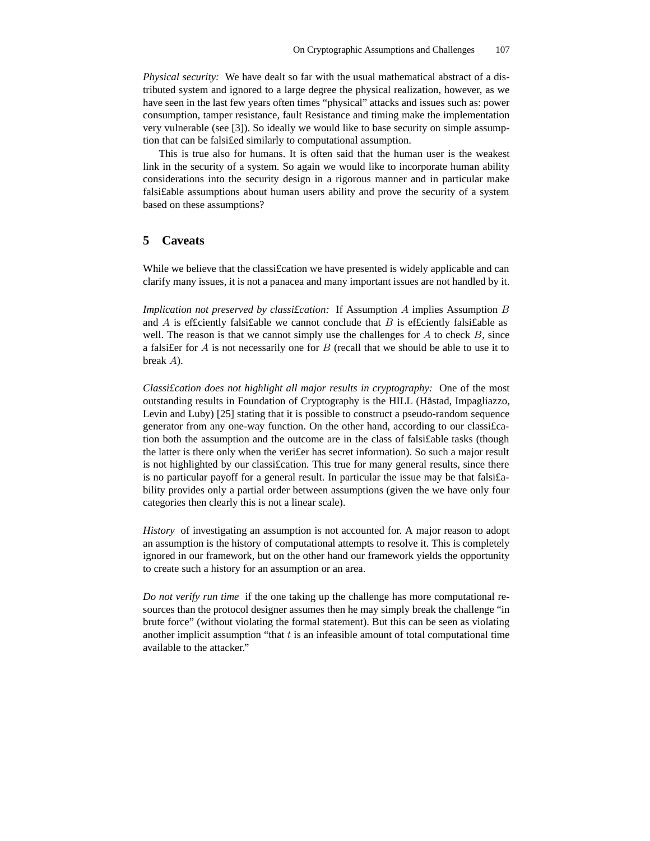*Physical security:* We have dealt so far with the usual mathematical abstract of a distributed system and ignored to a large degree the physical realization, however, as we have seen in the last few years often times "physical" attacks and issues such as: power consumption, tamper resistance, fault Resistance and timing make the implementation very vulnerable (see [3]). So ideally we would like to base security on simple assumption that can be falsi£ed similarly to computational assumption.

This is true also for humans. It is often said that the human user is the weakest link in the security of a system. So again we would like to incorporate human ability considerations into the security design in a rigorous manner and in particular make falsi£able assumptions about human users ability and prove the security of a system based on these assumptions?

## **5 Caveats**

While we believe that the classification we have presented is widely applicable and can clarify many issues, it is not a panacea and many important issues are not handled by it.

*Implication not preserved by classi£cation:* If Assumption A implies Assumption B and A is efficiently falsifable we cannot conclude that B is efficiently falsifable as well. The reason is that we cannot simply use the challenges for  $A$  to check  $B$ , since a falsi fer for  $A$  is not necessarily one for  $B$  (recall that we should be able to use it to break A).

*Classi£cation does not highlight all major results in cryptography:* One of the most outstanding results in Foundation of Cryptography is the HILL (Håstad, Impagliazzo, Levin and Luby) [25] stating that it is possible to construct a pseudo-random sequence generator from any one-way function. On the other hand, according to our classi£cation both the assumption and the outcome are in the class of falsi£able tasks (though the latter is there only when the veri£er has secret information). So such a major result is not highlighted by our classi£cation. This true for many general results, since there is no particular payoff for a general result. In particular the issue may be that falsi£ability provides only a partial order between assumptions (given the we have only four categories then clearly this is not a linear scale).

*History* of investigating an assumption is not accounted for. A major reason to adopt an assumption is the history of computational attempts to resolve it. This is completely ignored in our framework, but on the other hand our framework yields the opportunity to create such a history for an assumption or an area.

*Do not verify run time* if the one taking up the challenge has more computational resources than the protocol designer assumes then he may simply break the challenge "in brute force" (without violating the formal statement). But this can be seen as violating another implicit assumption "that  $t$  is an infeasible amount of total computational time available to the attacker."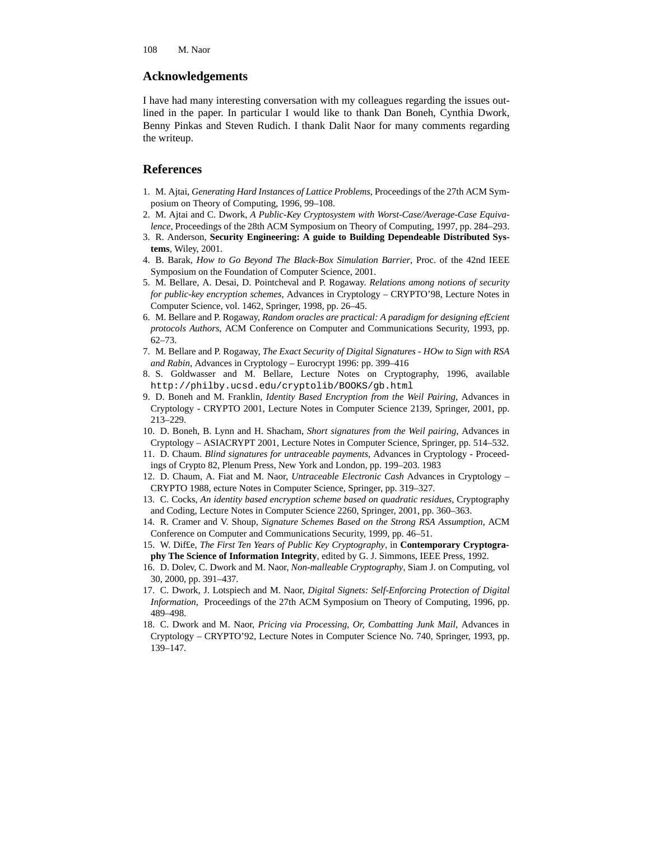### **Acknowledgements**

I have had many interesting conversation with my colleagues regarding the issues outlined in the paper. In particular I would like to thank Dan Boneh, Cynthia Dwork, Benny Pinkas and Steven Rudich. I thank Dalit Naor for many comments regarding the writeup.

### **References**

- 1. M. Ajtai, *Generating Hard Instances of Lattice Problems*, Proceedings of the 27th ACM Symposium on Theory of Computing, 1996, 99–108.
- 2. M. Ajtai and C. Dwork, *A Public-Key Cryptosystem with Worst-Case/Average-Case Equivalence,* Proceedings of the 28th ACM Symposium on Theory of Computing, 1997, pp. 284–293.
- 3. R. Anderson, **Security Engineering: A guide to Building Dependeable Distributed Systems**, Wiley, 2001.
- 4. B. Barak, *How to Go Beyond The Black-Box Simulation Barrier*, Proc. of the 42nd IEEE Symposium on the Foundation of Computer Science, 2001.
- 5. M. Bellare, A. Desai, D. Pointcheval and P. Rogaway. *Relations among notions of security for public-key encryption schemes,* Advances in Cryptology – CRYPTO'98, Lecture Notes in Computer Science, vol. 1462, Springer, 1998, pp. 26–45.
- 6. M. Bellare and P. Rogaway, *Random oracles are practical: A paradigm for designing ef£cient protocols Authors*, ACM Conference on Computer and Communications Security, 1993, pp. 62–73.
- 7. M. Bellare and P. Rogaway, *The Exact Security of Digital Signatures - HOw to Sign with RSA and Rabin*, Advances in Cryptology – Eurocrypt 1996: pp. 399–416
- 8. S. Goldwasser and M. Bellare, Lecture Notes on Cryptography, 1996, available http://philby.ucsd.edu/cryptolib/BOOKS/gb.html
- 9. D. Boneh and M. Franklin, *Identity Based Encryption from the Weil Pairing*, Advances in Cryptology - CRYPTO 2001, Lecture Notes in Computer Science 2139, Springer, 2001, pp. 213–229.
- 10. D. Boneh, B. Lynn and H. Shacham, *Short signatures from the Weil pairing*, Advances in Cryptology – ASIACRYPT 2001, Lecture Notes in Computer Science, Springer, pp. 514–532.
- 11. D. Chaum. *Blind signatures for untraceable payments*, Advances in Cryptology Proceedings of Crypto 82, Plenum Press, New York and London, pp. 199–203. 1983
- 12. D. Chaum, A. Fiat and M. Naor, *Untraceable Electronic Cash* Advances in Cryptology CRYPTO 1988, ecture Notes in Computer Science, Springer, pp. 319–327.
- 13. C. Cocks, *An identity based encryption scheme based on quadratic residues*, Cryptography and Coding, Lecture Notes in Computer Science 2260, Springer, 2001, pp. 360–363.
- 14. R. Cramer and V. Shoup, *Signature Schemes Based on the Strong RSA Assumption*, ACM Conference on Computer and Communications Security, 1999, pp. 46–51.
- 15. W. Dif£e, *The First Ten Years of Public Key Cryptography*, in **Contemporary Cryptography The Science of Information Integrity**, edited by G. J. Simmons, IEEE Press, 1992.
- 16. D. Dolev, C. Dwork and M. Naor, *Non-malleable Cryptography*, Siam J. on Computing, vol 30, 2000, pp. 391–437.
- 17. C. Dwork, J. Lotspiech and M. Naor, *Digital Signets: Self-Enforcing Protection of Digital Information*, Proceedings of the 27th ACM Symposium on Theory of Computing, 1996, pp. 489–498.
- 18. C. Dwork and M. Naor, *Pricing via Processing, Or, Combatting Junk Mail*, Advances in Cryptology – CRYPTO'92, Lecture Notes in Computer Science No. 740, Springer, 1993, pp. 139–147.